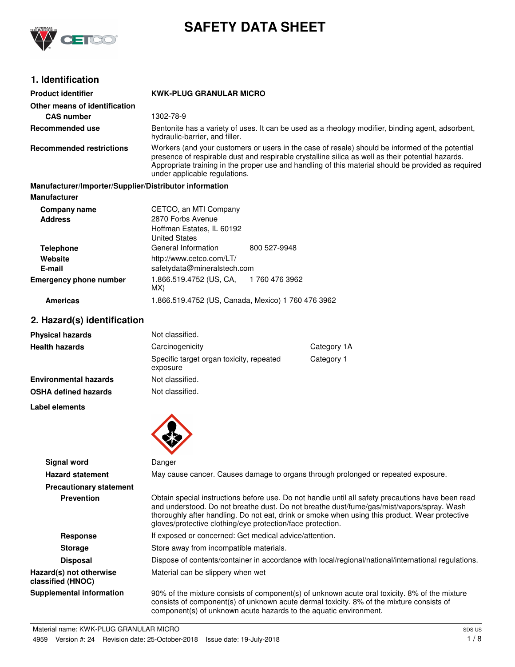

# **SAFETY DATA SHEET**

# **1. Identification**

| <b>Product identifier</b>                              | <b>KWK-PLUG GRANULAR MICRO</b>                                                                                                                                                                                                                                                                                                               |                                                                                                   |
|--------------------------------------------------------|----------------------------------------------------------------------------------------------------------------------------------------------------------------------------------------------------------------------------------------------------------------------------------------------------------------------------------------------|---------------------------------------------------------------------------------------------------|
| Other means of identification                          |                                                                                                                                                                                                                                                                                                                                              |                                                                                                   |
| <b>CAS number</b>                                      | 1302-78-9                                                                                                                                                                                                                                                                                                                                    |                                                                                                   |
| Recommended use                                        | hydraulic-barrier, and filler.                                                                                                                                                                                                                                                                                                               | Bentonite has a variety of uses. It can be used as a rheology modifier, binding agent, adsorbent, |
| <b>Recommended restrictions</b>                        | Workers (and your customers or users in the case of resale) should be informed of the potential<br>presence of respirable dust and respirable crystalline silica as well as their potential hazards.<br>Appropriate training in the proper use and handling of this material should be provided as required<br>under applicable regulations. |                                                                                                   |
| Manufacturer/Importer/Supplier/Distributor information |                                                                                                                                                                                                                                                                                                                                              |                                                                                                   |
| <b>Manufacturer</b>                                    |                                                                                                                                                                                                                                                                                                                                              |                                                                                                   |
| Company name                                           | CETCO, an MTI Company                                                                                                                                                                                                                                                                                                                        |                                                                                                   |
| <b>Address</b>                                         | 2870 Forbs Avenue                                                                                                                                                                                                                                                                                                                            |                                                                                                   |
|                                                        | Hoffman Estates, IL 60192<br><b>United States</b>                                                                                                                                                                                                                                                                                            |                                                                                                   |
| <b>Telephone</b>                                       | General Information                                                                                                                                                                                                                                                                                                                          | 800 527-9948                                                                                      |
| Website                                                | http://www.cetco.com/LT/                                                                                                                                                                                                                                                                                                                     |                                                                                                   |
| E-mail                                                 | safetydata@mineralstech.com                                                                                                                                                                                                                                                                                                                  |                                                                                                   |
| <b>Emergency phone number</b>                          | 1.866.519.4752 (US, CA,<br>MX)                                                                                                                                                                                                                                                                                                               | 1 760 476 3962                                                                                    |
| <b>Americas</b>                                        | 1.866.519.4752 (US, Canada, Mexico) 1 760 476 3962                                                                                                                                                                                                                                                                                           |                                                                                                   |
| 2. Hazard(s) identification                            |                                                                                                                                                                                                                                                                                                                                              |                                                                                                   |
| Physical hazards                                       | Not classified.                                                                                                                                                                                                                                                                                                                              |                                                                                                   |

# **2. Hazard(s) identification**

| <b>Physical hazards</b>      | Not classified.                                      |            |  |
|------------------------------|------------------------------------------------------|------------|--|
| <b>Health hazards</b>        | Carcinogenicity<br>Category 1A                       |            |  |
|                              | Specific target organ toxicity, repeated<br>exposure | Category 1 |  |
| <b>Environmental hazards</b> | Not classified.                                      |            |  |
| <b>OSHA defined hazards</b>  | Not classified.                                      |            |  |
| Label elements               |                                                      |            |  |
|                              |                                                      |            |  |

| Signal word                                  | Danger                                                                                                                                                                                                                                                                                                                                                         |  |  |
|----------------------------------------------|----------------------------------------------------------------------------------------------------------------------------------------------------------------------------------------------------------------------------------------------------------------------------------------------------------------------------------------------------------------|--|--|
| <b>Hazard statement</b>                      | May cause cancer. Causes damage to organs through prolonged or repeated exposure.                                                                                                                                                                                                                                                                              |  |  |
| <b>Precautionary statement</b>               |                                                                                                                                                                                                                                                                                                                                                                |  |  |
| <b>Prevention</b>                            | Obtain special instructions before use. Do not handle until all safety precautions have been read<br>and understood. Do not breathe dust. Do not breathe dust/fume/gas/mist/vapors/spray. Wash<br>thoroughly after handling. Do not eat, drink or smoke when using this product. Wear protective<br>gloves/protective clothing/eye protection/face protection. |  |  |
| Response                                     | If exposed or concerned: Get medical advice/attention.                                                                                                                                                                                                                                                                                                         |  |  |
| <b>Storage</b>                               | Store away from incompatible materials.                                                                                                                                                                                                                                                                                                                        |  |  |
| <b>Disposal</b>                              | Dispose of contents/container in accordance with local/regional/national/international regulations.                                                                                                                                                                                                                                                            |  |  |
| Hazard(s) not otherwise<br>classified (HNOC) | Material can be slippery when wet                                                                                                                                                                                                                                                                                                                              |  |  |
| Supplemental information                     | 90% of the mixture consists of component(s) of unknown acute oral toxicity. 8% of the mixture<br>consists of component(s) of unknown acute dermal toxicity. 8% of the mixture consists of<br>component(s) of unknown acute hazards to the aquatic environment.                                                                                                 |  |  |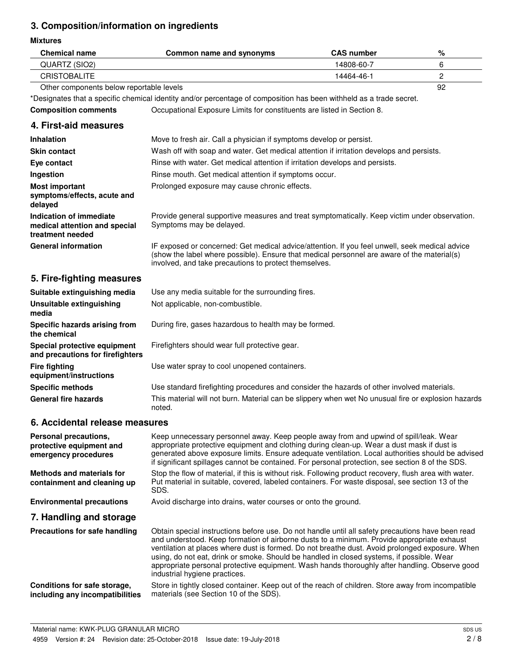# **3. Composition/information on ingredients**

#### **Mixtures**

| <b>Mixtures</b>                                                              |                                                                                                                                                                                                                                                                                                                                                                                                                                                                                                                                   |                   |                |
|------------------------------------------------------------------------------|-----------------------------------------------------------------------------------------------------------------------------------------------------------------------------------------------------------------------------------------------------------------------------------------------------------------------------------------------------------------------------------------------------------------------------------------------------------------------------------------------------------------------------------|-------------------|----------------|
| <b>Chemical name</b>                                                         | Common name and synonyms                                                                                                                                                                                                                                                                                                                                                                                                                                                                                                          | <b>CAS number</b> | %              |
| QUARTZ (SIO2)                                                                |                                                                                                                                                                                                                                                                                                                                                                                                                                                                                                                                   | 14808-60-7        | 6              |
| <b>CRISTOBALITE</b>                                                          |                                                                                                                                                                                                                                                                                                                                                                                                                                                                                                                                   | 14464-46-1        | $\overline{c}$ |
| Other components below reportable levels                                     |                                                                                                                                                                                                                                                                                                                                                                                                                                                                                                                                   |                   | 92             |
|                                                                              | *Designates that a specific chemical identity and/or percentage of composition has been withheld as a trade secret.                                                                                                                                                                                                                                                                                                                                                                                                               |                   |                |
| <b>Composition comments</b>                                                  | Occupational Exposure Limits for constituents are listed in Section 8.                                                                                                                                                                                                                                                                                                                                                                                                                                                            |                   |                |
| 4. First-aid measures                                                        |                                                                                                                                                                                                                                                                                                                                                                                                                                                                                                                                   |                   |                |
| <b>Inhalation</b>                                                            | Move to fresh air. Call a physician if symptoms develop or persist.                                                                                                                                                                                                                                                                                                                                                                                                                                                               |                   |                |
| <b>Skin contact</b>                                                          | Wash off with soap and water. Get medical attention if irritation develops and persists.                                                                                                                                                                                                                                                                                                                                                                                                                                          |                   |                |
| Eye contact                                                                  | Rinse with water. Get medical attention if irritation develops and persists.                                                                                                                                                                                                                                                                                                                                                                                                                                                      |                   |                |
| Ingestion                                                                    | Rinse mouth. Get medical attention if symptoms occur.                                                                                                                                                                                                                                                                                                                                                                                                                                                                             |                   |                |
| <b>Most important</b><br>symptoms/effects, acute and<br>delayed              | Prolonged exposure may cause chronic effects.                                                                                                                                                                                                                                                                                                                                                                                                                                                                                     |                   |                |
| Indication of immediate<br>medical attention and special<br>treatment needed | Provide general supportive measures and treat symptomatically. Keep victim under observation.<br>Symptoms may be delayed.                                                                                                                                                                                                                                                                                                                                                                                                         |                   |                |
| <b>General information</b>                                                   | IF exposed or concerned: Get medical advice/attention. If you feel unwell, seek medical advice<br>(show the label where possible). Ensure that medical personnel are aware of the material(s)<br>involved, and take precautions to protect themselves.                                                                                                                                                                                                                                                                            |                   |                |
| 5. Fire-fighting measures                                                    |                                                                                                                                                                                                                                                                                                                                                                                                                                                                                                                                   |                   |                |
| Suitable extinguishing media                                                 | Use any media suitable for the surrounding fires.                                                                                                                                                                                                                                                                                                                                                                                                                                                                                 |                   |                |
| <b>Unsuitable extinguishing</b><br>media                                     | Not applicable, non-combustible.                                                                                                                                                                                                                                                                                                                                                                                                                                                                                                  |                   |                |
| Specific hazards arising from<br>the chemical                                | During fire, gases hazardous to health may be formed.                                                                                                                                                                                                                                                                                                                                                                                                                                                                             |                   |                |
| Special protective equipment<br>and precautions for firefighters             | Firefighters should wear full protective gear.                                                                                                                                                                                                                                                                                                                                                                                                                                                                                    |                   |                |
| <b>Fire fighting</b><br>equipment/instructions                               | Use water spray to cool unopened containers.                                                                                                                                                                                                                                                                                                                                                                                                                                                                                      |                   |                |
| <b>Specific methods</b>                                                      | Use standard firefighting procedures and consider the hazards of other involved materials.                                                                                                                                                                                                                                                                                                                                                                                                                                        |                   |                |
| General fire hazards                                                         | This material will not burn. Material can be slippery when wet No unusual fire or explosion hazards<br>noted.                                                                                                                                                                                                                                                                                                                                                                                                                     |                   |                |
| 6. Accidental release measures                                               |                                                                                                                                                                                                                                                                                                                                                                                                                                                                                                                                   |                   |                |
| Personal precautions,<br>protective equipment and<br>emergency procedures    | Keep unnecessary personnel away. Keep people away from and upwind of spill/leak. Wear<br>appropriate protective equipment and clothing during clean-up. Wear a dust mask if dust is<br>generated above exposure limits. Ensure adequate ventilation. Local authorities should be advised<br>if significant spillages cannot be contained. For personal protection, see section 8 of the SDS.                                                                                                                                      |                   |                |
| <b>Methods and materials for</b><br>containment and cleaning up              | Stop the flow of material, if this is without risk. Following product recovery, flush area with water.<br>Put material in suitable, covered, labeled containers. For waste disposal, see section 13 of the<br>SDS.                                                                                                                                                                                                                                                                                                                |                   |                |
| <b>Environmental precautions</b>                                             | Avoid discharge into drains, water courses or onto the ground.                                                                                                                                                                                                                                                                                                                                                                                                                                                                    |                   |                |
| 7. Handling and storage                                                      |                                                                                                                                                                                                                                                                                                                                                                                                                                                                                                                                   |                   |                |
| Precautions for safe handling                                                | Obtain special instructions before use. Do not handle until all safety precautions have been read<br>and understood. Keep formation of airborne dusts to a minimum. Provide appropriate exhaust<br>ventilation at places where dust is formed. Do not breathe dust. Avoid prolonged exposure. When<br>using, do not eat, drink or smoke. Should be handled in closed systems, if possible. Wear<br>appropriate personal protective equipment. Wash hands thoroughly after handling. Observe good<br>industrial hygiene practices. |                   |                |
| Conditions for safe storage,                                                 | Store in tightly closed container. Keep out of the reach of children. Store away from incompatible                                                                                                                                                                                                                                                                                                                                                                                                                                |                   |                |

Material name: KWK-PLUG GRANULAR MICRO 4959 Version #: 24 Revision date: 25-October-2018 Issue date: 19-July-2018

**including any incompatibilities**

materials (see Section 10 of the SDS).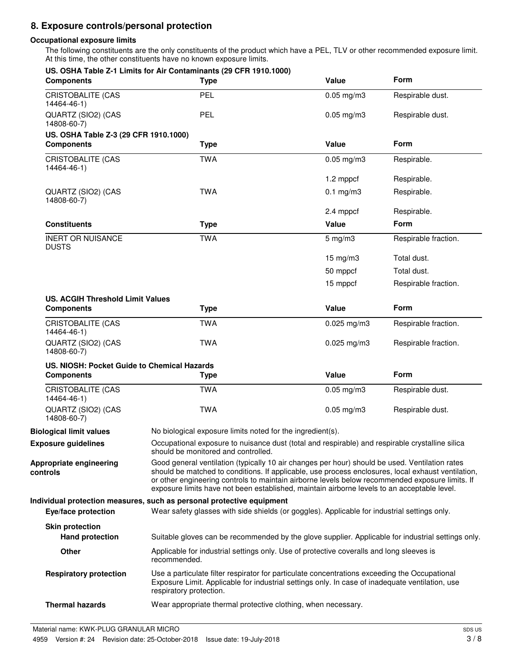# **8. Exposure controls/personal protection**

### **Occupational exposure limits**

The following constituents are the only constituents of the product which have a PEL, TLV or other recommended exposure limit. At this time, the other constituents have no known exposure limits.

| <b>Components</b>                           | US. OSHA Table Z-1 Limits for Air Contaminants (29 CFR 1910.1000)<br><b>Type</b>                                                                                                                                                                                                                                                                                                                       | Value           | <b>Form</b>          |
|---------------------------------------------|--------------------------------------------------------------------------------------------------------------------------------------------------------------------------------------------------------------------------------------------------------------------------------------------------------------------------------------------------------------------------------------------------------|-----------------|----------------------|
| <b>CRISTOBALITE (CAS</b><br>14464-46-1)     | PEL                                                                                                                                                                                                                                                                                                                                                                                                    | $0.05$ mg/m $3$ | Respirable dust.     |
| QUARTZ (SIO2) (CAS<br>14808-60-7)           | PEL                                                                                                                                                                                                                                                                                                                                                                                                    | $0.05$ mg/m $3$ | Respirable dust.     |
| US. OSHA Table Z-3 (29 CFR 1910.1000)       |                                                                                                                                                                                                                                                                                                                                                                                                        |                 |                      |
| <b>Components</b>                           | <b>Type</b>                                                                                                                                                                                                                                                                                                                                                                                            | Value           | Form                 |
| <b>CRISTOBALITE (CAS</b><br>14464-46-1)     | <b>TWA</b>                                                                                                                                                                                                                                                                                                                                                                                             | $0.05$ mg/m $3$ | Respirable.          |
|                                             |                                                                                                                                                                                                                                                                                                                                                                                                        | 1.2 mppcf       | Respirable.          |
| QUARTZ (SIO2) (CAS<br>14808-60-7)           | <b>TWA</b>                                                                                                                                                                                                                                                                                                                                                                                             | $0.1$ mg/m3     | Respirable.          |
|                                             |                                                                                                                                                                                                                                                                                                                                                                                                        | 2.4 mppcf       | Respirable.          |
| <b>Constituents</b>                         | <b>Type</b>                                                                                                                                                                                                                                                                                                                                                                                            | Value           | Form                 |
| <b>INERT OR NUISANCE</b><br><b>DUSTS</b>    | <b>TWA</b>                                                                                                                                                                                                                                                                                                                                                                                             | $5$ mg/m $3$    | Respirable fraction. |
|                                             |                                                                                                                                                                                                                                                                                                                                                                                                        | 15 mg/m3        | Total dust.          |
|                                             |                                                                                                                                                                                                                                                                                                                                                                                                        | 50 mppcf        | Total dust.          |
|                                             |                                                                                                                                                                                                                                                                                                                                                                                                        | 15 mppcf        | Respirable fraction. |
| <b>US. ACGIH Threshold Limit Values</b>     |                                                                                                                                                                                                                                                                                                                                                                                                        |                 |                      |
| <b>Components</b>                           | <b>Type</b>                                                                                                                                                                                                                                                                                                                                                                                            | Value           | Form                 |
| CRISTOBALITE (CAS<br>14464-46-1)            | <b>TWA</b>                                                                                                                                                                                                                                                                                                                                                                                             | $0.025$ mg/m3   | Respirable fraction. |
| QUARTZ (SIO2) (CAS<br>14808-60-7)           | <b>TWA</b>                                                                                                                                                                                                                                                                                                                                                                                             | $0.025$ mg/m3   | Respirable fraction. |
| US. NIOSH: Pocket Guide to Chemical Hazards |                                                                                                                                                                                                                                                                                                                                                                                                        |                 |                      |
| <b>Components</b>                           | <b>Type</b>                                                                                                                                                                                                                                                                                                                                                                                            | Value           | Form                 |
|                                             | <b>TWA</b>                                                                                                                                                                                                                                                                                                                                                                                             | $0.05$ mg/m $3$ | Respirable dust.     |
| <b>CRISTOBALITE (CAS</b><br>14464-46-1)     |                                                                                                                                                                                                                                                                                                                                                                                                        |                 |                      |
| QUARTZ (SIO2) (CAS<br>14808-60-7)           | <b>TWA</b>                                                                                                                                                                                                                                                                                                                                                                                             | $0.05$ mg/m $3$ | Respirable dust.     |
| <b>Biological limit values</b>              | No biological exposure limits noted for the ingredient(s).                                                                                                                                                                                                                                                                                                                                             |                 |                      |
| <b>Exposure guidelines</b>                  | Occupational exposure to nuisance dust (total and respirable) and respirable crystalline silica<br>should be monitored and controlled.                                                                                                                                                                                                                                                                 |                 |                      |
| Appropriate engineering<br>controls         | Good general ventilation (typically 10 air changes per hour) should be used. Ventilation rates<br>should be matched to conditions. If applicable, use process enclosures, local exhaust ventilation,<br>or other engineering controls to maintain airborne levels below recommended exposure limits. If<br>exposure limits have not been established, maintain airborne levels to an acceptable level. |                 |                      |
| Eye/face protection                         | Individual protection measures, such as personal protective equipment<br>Wear safety glasses with side shields (or goggles). Applicable for industrial settings only.                                                                                                                                                                                                                                  |                 |                      |
| <b>Skin protection</b>                      |                                                                                                                                                                                                                                                                                                                                                                                                        |                 |                      |
| <b>Hand protection</b>                      | Suitable gloves can be recommended by the glove supplier. Applicable for industrial settings only.                                                                                                                                                                                                                                                                                                     |                 |                      |
| Other                                       | Applicable for industrial settings only. Use of protective coveralls and long sleeves is<br>recommended.                                                                                                                                                                                                                                                                                               |                 |                      |
| <b>Respiratory protection</b>               | Use a particulate filter respirator for particulate concentrations exceeding the Occupational<br>Exposure Limit. Applicable for industrial settings only. In case of inadequate ventilation, use<br>respiratory protection.                                                                                                                                                                            |                 |                      |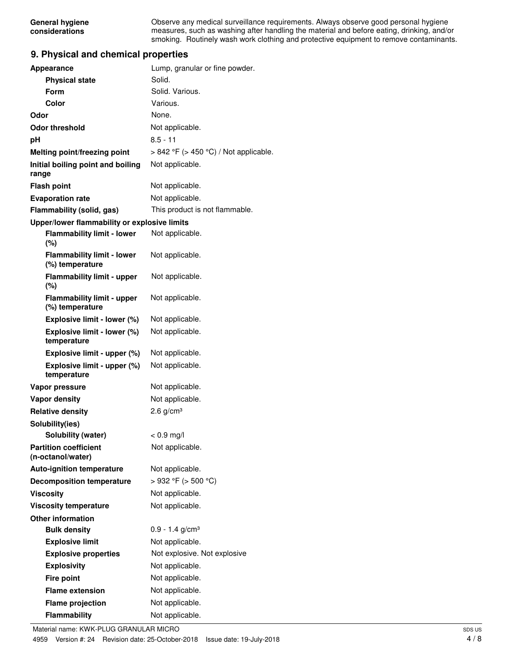Observe any medical surveillance requirements. Always observe good personal hygiene measures, such as washing after handling the material and before eating, drinking, and/or smoking. Routinely wash work clothing and protective equipment to remove contaminants.

# **9. Physical and chemical properties**

| Appearance                                           | Lump, granular or fine powder.             |
|------------------------------------------------------|--------------------------------------------|
| <b>Physical state</b>                                | Solid.                                     |
| Form                                                 | Solid. Various.                            |
| Color                                                | Various.                                   |
| Odor                                                 | None.                                      |
| <b>Odor threshold</b>                                | Not applicable.                            |
| рH                                                   | $8.5 - 11$                                 |
| Melting point/freezing point                         | $> 842$ °F ( $> 450$ °C) / Not applicable. |
| Initial boiling point and boiling<br>range           | Not applicable.                            |
| <b>Flash point</b>                                   | Not applicable.                            |
| <b>Evaporation rate</b>                              | Not applicable.                            |
| Flammability (solid, gas)                            | This product is not flammable.             |
| Upper/lower flammability or explosive limits         |                                            |
| <b>Flammability limit - lower</b><br>$(\%)$          | Not applicable.                            |
| <b>Flammability limit - lower</b><br>(%) temperature | Not applicable.                            |
| <b>Flammability limit - upper</b><br>$(\%)$          | Not applicable.                            |
| <b>Flammability limit - upper</b><br>(%) temperature | Not applicable.                            |
| Explosive limit - lower (%)                          | Not applicable.                            |
| Explosive limit - lower (%)<br>temperature           | Not applicable.                            |
| Explosive limit - upper (%)                          | Not applicable.                            |
| Explosive limit - upper (%)<br>temperature           | Not applicable.                            |
| Vapor pressure                                       | Not applicable.                            |
| <b>Vapor density</b>                                 | Not applicable.                            |
| <b>Relative density</b>                              | 2.6 $g/cm3$                                |
| Solubility(ies)                                      |                                            |
| Solubility (water)                                   | $< 0.9$ mg/l                               |
| <b>Partition coefficient</b><br>(n-octanol/water)    | Not applicable.                            |
| <b>Auto-ignition temperature</b>                     | Not applicable.                            |
| <b>Decomposition temperature</b>                     | >932 °F (> 500 °C)                         |
| <b>Viscosity</b>                                     | Not applicable.                            |
| <b>Viscosity temperature</b>                         | Not applicable.                            |
| <b>Other information</b>                             |                                            |
| <b>Bulk density</b>                                  | $0.9 - 1.4$ g/cm <sup>3</sup>              |
| <b>Explosive limit</b>                               | Not applicable.                            |
| <b>Explosive properties</b>                          | Not explosive. Not explosive               |
| <b>Explosivity</b>                                   | Not applicable.                            |
| <b>Fire point</b>                                    | Not applicable.                            |
| <b>Flame extension</b>                               | Not applicable.                            |
| <b>Flame projection</b>                              | Not applicable.                            |
| Flammability                                         | Not applicable.                            |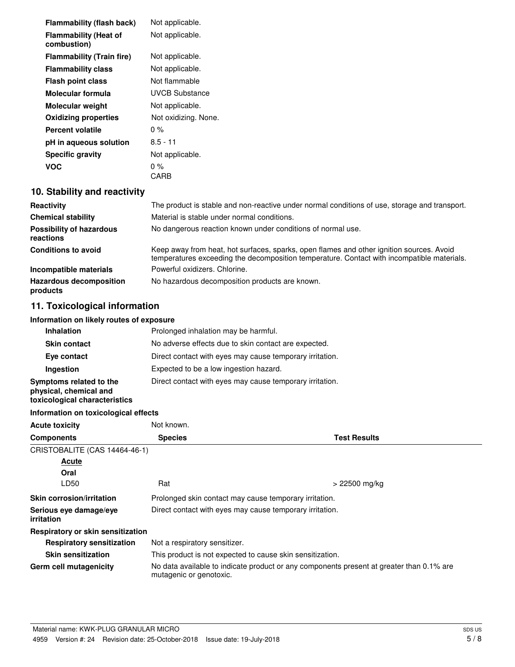| <b>Flammability (flash back)</b>            | Not applicable.      |
|---------------------------------------------|----------------------|
| <b>Flammability (Heat of</b><br>combustion) | Not applicable.      |
| <b>Flammability (Train fire)</b>            | Not applicable.      |
| <b>Flammability class</b>                   | Not applicable.      |
| <b>Flash point class</b>                    | Not flammable        |
| Molecular formula                           | UVCB Substance       |
| <b>Molecular weight</b>                     | Not applicable.      |
| <b>Oxidizing properties</b>                 | Not oxidizing. None. |
| Percent volatile                            | $0\%$                |
| pH in aqueous solution                      | $8.5 - 11$           |
| <b>Specific gravity</b>                     | Not applicable.      |
| VOC                                         | 0 %                  |
|                                             | CARB                 |

# **10. Stability and reactivity**

| Reactivity                                   | The product is stable and non-reactive under normal conditions of use, storage and transport.                                                                                          |
|----------------------------------------------|----------------------------------------------------------------------------------------------------------------------------------------------------------------------------------------|
| <b>Chemical stability</b>                    | Material is stable under normal conditions.                                                                                                                                            |
| <b>Possibility of hazardous</b><br>reactions | No dangerous reaction known under conditions of normal use.                                                                                                                            |
| <b>Conditions to avoid</b>                   | Keep away from heat, hot surfaces, sparks, open flames and other ignition sources. Avoid<br>temperatures exceeding the decomposition temperature. Contact with incompatible materials. |
| Incompatible materials                       | Powerful oxidizers, Chlorine.                                                                                                                                                          |
| <b>Hazardous decomposition</b><br>products   | No hazardous decomposition products are known.                                                                                                                                         |

# **11. Toxicological information**

## **Information on likely routes of exposure**

| <b>Inhalation</b>                                                                  | Prolonged inhalation may be harmful.                     |  |  |
|------------------------------------------------------------------------------------|----------------------------------------------------------|--|--|
| <b>Skin contact</b>                                                                | No adverse effects due to skin contact are expected.     |  |  |
| Eye contact                                                                        | Direct contact with eyes may cause temporary irritation. |  |  |
| Ingestion                                                                          | Expected to be a low ingestion hazard.                   |  |  |
| Symptoms related to the<br>physical, chemical and<br>toxicological characteristics | Direct contact with eyes may cause temporary irritation. |  |  |

# **Information on toxicological effects**

| <b>Acute toxicity</b>                       | Not known.                                                |                                                                                          |
|---------------------------------------------|-----------------------------------------------------------|------------------------------------------------------------------------------------------|
| <b>Components</b>                           | <b>Species</b>                                            | <b>Test Results</b>                                                                      |
| CRISTOBALITE (CAS 14464-46-1)               |                                                           |                                                                                          |
| Acute                                       |                                                           |                                                                                          |
| Oral                                        |                                                           |                                                                                          |
| LD50                                        | Rat                                                       | > 22500 mg/kg                                                                            |
| <b>Skin corrosion/irritation</b>            |                                                           | Prolonged skin contact may cause temporary irritation.                                   |
| Serious eye damage/eye<br><i>irritation</i> | Direct contact with eyes may cause temporary irritation.  |                                                                                          |
| Respiratory or skin sensitization           |                                                           |                                                                                          |
| <b>Respiratory sensitization</b>            | Not a respiratory sensitizer.                             |                                                                                          |
| <b>Skin sensitization</b>                   | This product is not expected to cause skin sensitization. |                                                                                          |
| Germ cell mutagenicity                      | mutagenic or genotoxic.                                   | No data available to indicate product or any components present at greater than 0.1% are |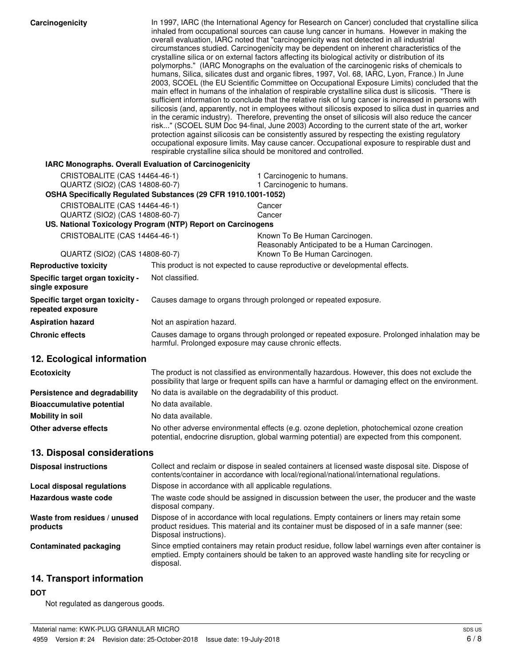| Carcinogenicity                                                 | In 1997, IARC (the International Agency for Research on Cancer) concluded that crystalline silica<br>inhaled from occupational sources can cause lung cancer in humans. However in making the<br>overall evaluation, IARC noted that "carcinogenicity was not detected in all industrial<br>circumstances studied. Carcinogenicity may be dependent on inherent characteristics of the<br>crystalline silica or on external factors affecting its biological activity or distribution of its<br>polymorphs." (IARC Monographs on the evaluation of the carcinogenic risks of chemicals to<br>humans, Silica, silicates dust and organic fibres, 1997, Vol. 68, IARC, Lyon, France.) In June<br>2003, SCOEL (the EU Scientific Committee on Occupational Exposure Limits) concluded that the<br>main effect in humans of the inhalation of respirable crystalline silica dust is silicosis. "There is<br>sufficient information to conclude that the relative risk of lung cancer is increased in persons with<br>silicosis (and, apparently, not in employees without silicosis exposed to silica dust in quarries and<br>in the ceramic industry). Therefore, preventing the onset of silicosis will also reduce the cancer<br>risk" (SCOEL SUM Doc 94-final, June 2003) According to the current state of the art, worker<br>protection against silicosis can be consistently assured by respecting the existing regulatory<br>occupational exposure limits. May cause cancer. Occupational exposure to respirable dust and<br>respirable crystalline silica should be monitored and controlled. |                                                                                                                                                                                                       |  |
|-----------------------------------------------------------------|----------------------------------------------------------------------------------------------------------------------------------------------------------------------------------------------------------------------------------------------------------------------------------------------------------------------------------------------------------------------------------------------------------------------------------------------------------------------------------------------------------------------------------------------------------------------------------------------------------------------------------------------------------------------------------------------------------------------------------------------------------------------------------------------------------------------------------------------------------------------------------------------------------------------------------------------------------------------------------------------------------------------------------------------------------------------------------------------------------------------------------------------------------------------------------------------------------------------------------------------------------------------------------------------------------------------------------------------------------------------------------------------------------------------------------------------------------------------------------------------------------------------------------------------------------------------------------------------------|-------------------------------------------------------------------------------------------------------------------------------------------------------------------------------------------------------|--|
| IARC Monographs. Overall Evaluation of Carcinogenicity          |                                                                                                                                                                                                                                                                                                                                                                                                                                                                                                                                                                                                                                                                                                                                                                                                                                                                                                                                                                                                                                                                                                                                                                                                                                                                                                                                                                                                                                                                                                                                                                                                    |                                                                                                                                                                                                       |  |
| CRISTOBALITE (CAS 14464-46-1)                                   |                                                                                                                                                                                                                                                                                                                                                                                                                                                                                                                                                                                                                                                                                                                                                                                                                                                                                                                                                                                                                                                                                                                                                                                                                                                                                                                                                                                                                                                                                                                                                                                                    | 1 Carcinogenic to humans.                                                                                                                                                                             |  |
| QUARTZ (SIO2) (CAS 14808-60-7)                                  |                                                                                                                                                                                                                                                                                                                                                                                                                                                                                                                                                                                                                                                                                                                                                                                                                                                                                                                                                                                                                                                                                                                                                                                                                                                                                                                                                                                                                                                                                                                                                                                                    | 1 Carcinogenic to humans.                                                                                                                                                                             |  |
|                                                                 | OSHA Specifically Regulated Substances (29 CFR 1910.1001-1052)                                                                                                                                                                                                                                                                                                                                                                                                                                                                                                                                                                                                                                                                                                                                                                                                                                                                                                                                                                                                                                                                                                                                                                                                                                                                                                                                                                                                                                                                                                                                     |                                                                                                                                                                                                       |  |
| CRISTOBALITE (CAS 14464-46-1)<br>QUARTZ (SIO2) (CAS 14808-60-7) |                                                                                                                                                                                                                                                                                                                                                                                                                                                                                                                                                                                                                                                                                                                                                                                                                                                                                                                                                                                                                                                                                                                                                                                                                                                                                                                                                                                                                                                                                                                                                                                                    | Cancer<br>Cancer                                                                                                                                                                                      |  |
|                                                                 | US. National Toxicology Program (NTP) Report on Carcinogens                                                                                                                                                                                                                                                                                                                                                                                                                                                                                                                                                                                                                                                                                                                                                                                                                                                                                                                                                                                                                                                                                                                                                                                                                                                                                                                                                                                                                                                                                                                                        |                                                                                                                                                                                                       |  |
| CRISTOBALITE (CAS 14464-46-1)                                   |                                                                                                                                                                                                                                                                                                                                                                                                                                                                                                                                                                                                                                                                                                                                                                                                                                                                                                                                                                                                                                                                                                                                                                                                                                                                                                                                                                                                                                                                                                                                                                                                    | Known To Be Human Carcinogen.                                                                                                                                                                         |  |
|                                                                 |                                                                                                                                                                                                                                                                                                                                                                                                                                                                                                                                                                                                                                                                                                                                                                                                                                                                                                                                                                                                                                                                                                                                                                                                                                                                                                                                                                                                                                                                                                                                                                                                    | Reasonably Anticipated to be a Human Carcinogen.                                                                                                                                                      |  |
| QUARTZ (SIO2) (CAS 14808-60-7)<br><b>Reproductive toxicity</b>  |                                                                                                                                                                                                                                                                                                                                                                                                                                                                                                                                                                                                                                                                                                                                                                                                                                                                                                                                                                                                                                                                                                                                                                                                                                                                                                                                                                                                                                                                                                                                                                                                    | Known To Be Human Carcinogen.<br>This product is not expected to cause reproductive or developmental effects.                                                                                         |  |
| Specific target organ toxicity -                                | Not classified.                                                                                                                                                                                                                                                                                                                                                                                                                                                                                                                                                                                                                                                                                                                                                                                                                                                                                                                                                                                                                                                                                                                                                                                                                                                                                                                                                                                                                                                                                                                                                                                    |                                                                                                                                                                                                       |  |
| single exposure                                                 |                                                                                                                                                                                                                                                                                                                                                                                                                                                                                                                                                                                                                                                                                                                                                                                                                                                                                                                                                                                                                                                                                                                                                                                                                                                                                                                                                                                                                                                                                                                                                                                                    |                                                                                                                                                                                                       |  |
| Specific target organ toxicity -<br>repeated exposure           |                                                                                                                                                                                                                                                                                                                                                                                                                                                                                                                                                                                                                                                                                                                                                                                                                                                                                                                                                                                                                                                                                                                                                                                                                                                                                                                                                                                                                                                                                                                                                                                                    | Causes damage to organs through prolonged or repeated exposure.                                                                                                                                       |  |
| <b>Aspiration hazard</b>                                        | Not an aspiration hazard.                                                                                                                                                                                                                                                                                                                                                                                                                                                                                                                                                                                                                                                                                                                                                                                                                                                                                                                                                                                                                                                                                                                                                                                                                                                                                                                                                                                                                                                                                                                                                                          |                                                                                                                                                                                                       |  |
| <b>Chronic effects</b>                                          | Causes damage to organs through prolonged or repeated exposure. Prolonged inhalation may be<br>harmful. Prolonged exposure may cause chronic effects.                                                                                                                                                                                                                                                                                                                                                                                                                                                                                                                                                                                                                                                                                                                                                                                                                                                                                                                                                                                                                                                                                                                                                                                                                                                                                                                                                                                                                                              |                                                                                                                                                                                                       |  |
| 12. Ecological information                                      |                                                                                                                                                                                                                                                                                                                                                                                                                                                                                                                                                                                                                                                                                                                                                                                                                                                                                                                                                                                                                                                                                                                                                                                                                                                                                                                                                                                                                                                                                                                                                                                                    |                                                                                                                                                                                                       |  |
| <b>Ecotoxicity</b>                                              |                                                                                                                                                                                                                                                                                                                                                                                                                                                                                                                                                                                                                                                                                                                                                                                                                                                                                                                                                                                                                                                                                                                                                                                                                                                                                                                                                                                                                                                                                                                                                                                                    | The product is not classified as environmentally hazardous. However, this does not exclude the<br>possibility that large or frequent spills can have a harmful or damaging effect on the environment. |  |
| Persistence and degradability                                   | No data is available on the degradability of this product.                                                                                                                                                                                                                                                                                                                                                                                                                                                                                                                                                                                                                                                                                                                                                                                                                                                                                                                                                                                                                                                                                                                                                                                                                                                                                                                                                                                                                                                                                                                                         |                                                                                                                                                                                                       |  |
| <b>Bioaccumulative potential</b>                                | No data available.                                                                                                                                                                                                                                                                                                                                                                                                                                                                                                                                                                                                                                                                                                                                                                                                                                                                                                                                                                                                                                                                                                                                                                                                                                                                                                                                                                                                                                                                                                                                                                                 |                                                                                                                                                                                                       |  |
| <b>Mobility in soil</b>                                         | No data available.                                                                                                                                                                                                                                                                                                                                                                                                                                                                                                                                                                                                                                                                                                                                                                                                                                                                                                                                                                                                                                                                                                                                                                                                                                                                                                                                                                                                                                                                                                                                                                                 |                                                                                                                                                                                                       |  |
| Other adverse effects                                           |                                                                                                                                                                                                                                                                                                                                                                                                                                                                                                                                                                                                                                                                                                                                                                                                                                                                                                                                                                                                                                                                                                                                                                                                                                                                                                                                                                                                                                                                                                                                                                                                    | No other adverse environmental effects (e.g. ozone depletion, photochemical ozone creation<br>potential, endocrine disruption, global warming potential) are expected from this component.            |  |
| 13. Disposal considerations                                     |                                                                                                                                                                                                                                                                                                                                                                                                                                                                                                                                                                                                                                                                                                                                                                                                                                                                                                                                                                                                                                                                                                                                                                                                                                                                                                                                                                                                                                                                                                                                                                                                    |                                                                                                                                                                                                       |  |
| <b>Disposal instructions</b>                                    |                                                                                                                                                                                                                                                                                                                                                                                                                                                                                                                                                                                                                                                                                                                                                                                                                                                                                                                                                                                                                                                                                                                                                                                                                                                                                                                                                                                                                                                                                                                                                                                                    | Collect and reclaim or dispose in sealed containers at licensed waste disposal site. Dispose of<br>contents/container in accordance with local/regional/national/international regulations.           |  |
| <b>Local disposal regulations</b>                               | Dispose in accordance with all applicable regulations.                                                                                                                                                                                                                                                                                                                                                                                                                                                                                                                                                                                                                                                                                                                                                                                                                                                                                                                                                                                                                                                                                                                                                                                                                                                                                                                                                                                                                                                                                                                                             |                                                                                                                                                                                                       |  |
| Hazardous waste code                                            | disposal company.                                                                                                                                                                                                                                                                                                                                                                                                                                                                                                                                                                                                                                                                                                                                                                                                                                                                                                                                                                                                                                                                                                                                                                                                                                                                                                                                                                                                                                                                                                                                                                                  | The waste code should be assigned in discussion between the user, the producer and the waste                                                                                                          |  |
| Waste from residues / unused<br>products                        | Disposal instructions).                                                                                                                                                                                                                                                                                                                                                                                                                                                                                                                                                                                                                                                                                                                                                                                                                                                                                                                                                                                                                                                                                                                                                                                                                                                                                                                                                                                                                                                                                                                                                                            | Dispose of in accordance with local regulations. Empty containers or liners may retain some<br>product residues. This material and its container must be disposed of in a safe manner (see:           |  |
| <b>Contaminated packaging</b>                                   | disposal.                                                                                                                                                                                                                                                                                                                                                                                                                                                                                                                                                                                                                                                                                                                                                                                                                                                                                                                                                                                                                                                                                                                                                                                                                                                                                                                                                                                                                                                                                                                                                                                          | Since emptied containers may retain product residue, follow label warnings even after container is<br>emptied. Empty containers should be taken to an approved waste handling site for recycling or   |  |

# **14. Transport information**

# **DOT**

Not regulated as dangerous goods.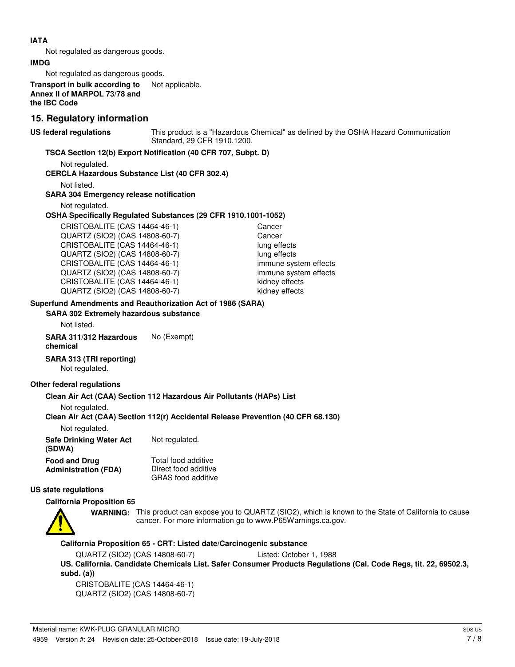## **IATA**

Not regulated as dangerous goods.

#### **IMDG**

Not regulated as dangerous goods.

**Transport in bulk according to** Not applicable. **Annex II of MARPOL 73/78 and the IBC Code**

# **15. Regulatory information**

**US federal regulations**

This product is a "Hazardous Chemical" as defined by the OSHA Hazard Communication Standard, 29 CFR 1910.1200.

## **TSCA Section 12(b) Export Notification (40 CFR 707, Subpt. D)**

Not regulated.

## **CERCLA Hazardous Substance List (40 CFR 302.4)**

Not listed.

#### **SARA 304 Emergency release notification**

Not regulated.

#### **OSHA Specifically Regulated Substances (29 CFR 1910.1001-1052)**

CRISTOBALITE (CAS 14464-46-1) Cancer QUARTZ (SIO2) (CAS 14808-60-7) Cancer CRISTOBALITE (CAS 14464-46-1) lung effects QUARTZ (SIO2) (CAS 14808-60-7) lung effects CRISTOBALITE (CAS 14464-46-1) immune system effects QUARTZ (SIO2) (CAS 14808-60-7) immune system effects CRISTOBALITE (CAS 14464-46-1) kidney effects QUARTZ (SIO2) (CAS 14808-60-7) kidney effects

# **Superfund Amendments and Reauthorization Act of 1986 (SARA)**

**SARA 302 Extremely hazardous substance**

Not listed.

**SARA 311/312 Hazardous** No (Exempt) **chemical**

# **SARA 313 (TRI reporting)**

Not regulated.

#### **Other federal regulations**

#### **Clean Air Act (CAA) Section 112 Hazardous Air Pollutants (HAPs) List**

Not regulated.

#### **Clean Air Act (CAA) Section 112(r) Accidental Release Prevention (40 CFR 68.130)**

Not regulated.

| <b>Safe Drinking Water Act</b><br>(SDWA) | Not regulated.            |
|------------------------------------------|---------------------------|
| <b>Food and Drug</b>                     | Total food additive       |
| <b>Administration (FDA)</b>              | Direct food additive      |
|                                          | <b>GRAS</b> food additive |

# **US state regulations**

#### **California Proposition 65**



WARNING: This product can expose you to QUARTZ (SIO2), which is known to the State of California to cause cancer. For more information go to www.P65Warnings.ca.gov.

**California Proposition 65 - CRT: Listed date/Carcinogenic substance**

QUARTZ (SIO2) (CAS 14808-60-7) Listed: October 1, 1988

**US. California. Candidate Chemicals List. Safer Consumer Products Regulations (Cal. Code Regs, tit. 22, 69502.3, subd. (a))**

CRISTOBALITE (CAS 14464-46-1) QUARTZ (SIO2) (CAS 14808-60-7)